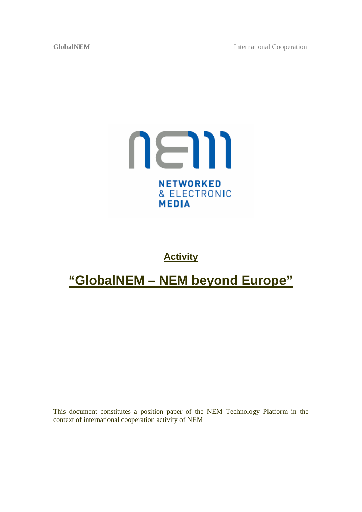**GlobalNEM** International Cooperation



## **Activity**

# **"GlobalNEM – NEM beyond Europe"**

This document constitutes a position paper of the NEM Technology Platform in the context of international cooperation activity of NEM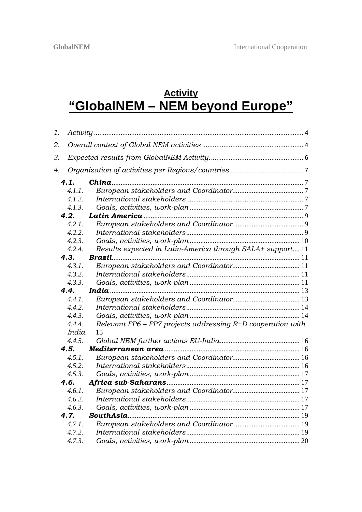# **Activity "GlobalNEM – NEM beyond Europe"**

| 1. |        |                                                               |  |  |  |
|----|--------|---------------------------------------------------------------|--|--|--|
| 2. |        |                                                               |  |  |  |
| З. |        |                                                               |  |  |  |
| 4. |        |                                                               |  |  |  |
|    | 4.1.   |                                                               |  |  |  |
|    | 4.1.1. |                                                               |  |  |  |
|    | 4.1.2. |                                                               |  |  |  |
|    | 4.1.3. |                                                               |  |  |  |
|    | 4.2.   |                                                               |  |  |  |
|    | 4.2.1. |                                                               |  |  |  |
|    | 4.2.2. |                                                               |  |  |  |
|    | 4.2.3. |                                                               |  |  |  |
|    | 4.2.4. | Results expected in Latin-America through SALA+ support 11    |  |  |  |
|    | 4.3.   |                                                               |  |  |  |
|    | 4.3.1. |                                                               |  |  |  |
|    | 4.3.2. |                                                               |  |  |  |
|    | 4.3.3. |                                                               |  |  |  |
|    | 4.4.   |                                                               |  |  |  |
|    | 4.4.1. |                                                               |  |  |  |
|    | 4.4.2. |                                                               |  |  |  |
|    | 4.4.3. |                                                               |  |  |  |
|    | 4.4.4. | Relevant FP6 - FP7 projects addressing $R+D$ cooperation with |  |  |  |
|    |        |                                                               |  |  |  |
|    | Índia. | 15                                                            |  |  |  |
|    | 4.4.5. |                                                               |  |  |  |
|    | 4.5.   |                                                               |  |  |  |
|    | 4.5.1. |                                                               |  |  |  |
|    | 4.5.2. |                                                               |  |  |  |
|    | 4.5.3. |                                                               |  |  |  |
|    | 4.6.   |                                                               |  |  |  |
|    | 4.6.1. |                                                               |  |  |  |
|    | 4.6.2. |                                                               |  |  |  |
|    | 4.6.3. |                                                               |  |  |  |
|    | 4.7.   |                                                               |  |  |  |
|    | 4.7.1. |                                                               |  |  |  |
|    | 4.7.2. |                                                               |  |  |  |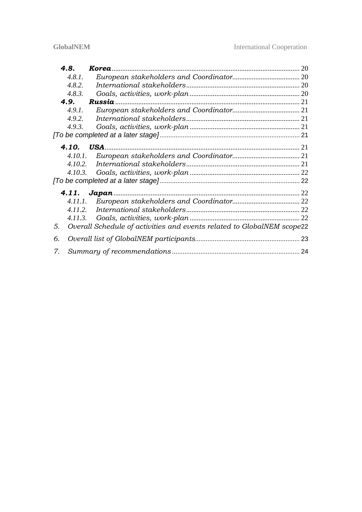|    | 4.8.    |                                                                        |    |  |
|----|---------|------------------------------------------------------------------------|----|--|
|    | 4.8.1.  |                                                                        |    |  |
|    | 4.8.2.  |                                                                        |    |  |
|    | 4.8.3.  |                                                                        |    |  |
|    | 4.9.    | Russia                                                                 |    |  |
|    | 4.9.1.  |                                                                        |    |  |
|    | 4.9.2.  |                                                                        |    |  |
|    | 4.9.3.  |                                                                        |    |  |
|    |         |                                                                        |    |  |
|    | 4.10.   |                                                                        |    |  |
|    | 4.10.1. |                                                                        |    |  |
|    | 4.10.2. |                                                                        |    |  |
|    | 4.10.3. |                                                                        |    |  |
|    |         |                                                                        |    |  |
|    | 4.11.   | Japan                                                                  |    |  |
|    | 4.11.1. |                                                                        |    |  |
|    | 4.11.2. |                                                                        |    |  |
|    | 4.11.3. |                                                                        |    |  |
| 5. |         | Overall Schedule of activities and events related to GlobalNEM scope22 |    |  |
| 6. |         |                                                                        | 23 |  |
| 7. |         |                                                                        |    |  |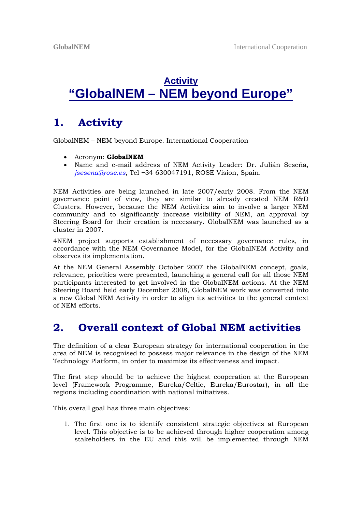# **Activity "GlobalNEM – NEM beyond Europe"**

## **1. Activity**

GlobalNEM – NEM beyond Europe. International Cooperation

- Acronym: **GlobalNEM**
- Name and e-mail address of NEM Activity Leader: Dr. Julián Seseña, *jsesena@rose.es*, Tel +34 630047191, ROSE Vision, Spain.

NEM Activities are being launched in late 2007/early 2008. From the NEM governance point of view, they are similar to already created NEM R&D Clusters. However, because the NEM Activities aim to involve a larger NEM community and to significantly increase visibility of NEM, an approval by Steering Board for their creation is necessary. GlobalNEM was launched as a cluster in 2007.

4NEM project supports establishment of necessary governance rules, in accordance with the NEM Governance Model, for the GlobalNEM Activity and observes its implementation.

At the NEM General Assembly October 2007 the GlobalNEM concept, goals, relevance, priorities were presented, launching a general call for all those NEM participants interested to get involved in the GlobalNEM actions. At the NEM Steering Board held early December 2008, GlobalNEM work was converted into a new Global NEM Activity in order to align its activities to the general context of NEM efforts.

## **2. Overall context of Global NEM activities**

The definition of a clear European strategy for international cooperation in the area of NEM is recognised to possess major relevance in the design of the NEM Technology Platform, in order to maximize its effectiveness and impact.

The first step should be to achieve the highest cooperation at the European level (Framework Programme, Eureka/Celtic, Eureka/Eurostar), in all the regions including coordination with national initiatives.

This overall goal has three main objectives:

1. The first one is to identify consistent strategic objectives at European level. This objective is to be achieved through higher cooperation among stakeholders in the EU and this will be implemented through NEM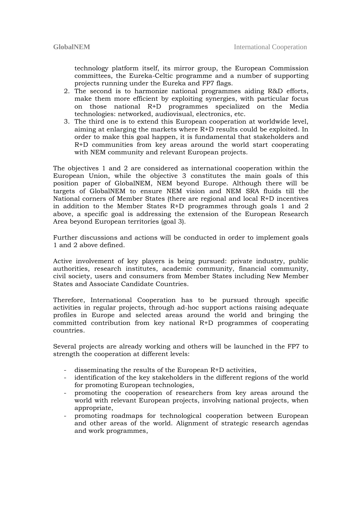technology platform itself, its mirror group, the European Commission committees, the Eureka-Celtic programme and a number of supporting projects running under the Eureka and FP7 flags.

- 2. The second is to harmonize national programmes aiding R&D efforts, make them more efficient by exploiting synergies, with particular focus on those national R+D programmes specialized on the Media technologies: networked, audiovisual, electronics, etc.
- 3. The third one is to extend this European cooperation at worldwide level, aiming at enlarging the markets where R+D results could be exploited. In order to make this goal happen, it is fundamental that stakeholders and R+D communities from key areas around the world start cooperating with NEM community and relevant European projects.

The objectives 1 and 2 are considered as international cooperation within the European Union, while the objective 3 constitutes the main goals of this position paper of GlobalNEM, NEM beyond Europe. Although there will be targets of GlobalNEM to ensure NEM vision and NEM SRA fluids till the National corners of Member States (there are regional and local R+D incentives in addition to the Member States  $R+D$  programmes through goals 1 and 2 above, a specific goal is addressing the extension of the European Research Area beyond European territories (goal 3).

Further discussions and actions will be conducted in order to implement goals 1 and 2 above defined.

Active involvement of key players is being pursued: private industry, public authorities, research institutes, academic community, financial community, civil society, users and consumers from Member States including New Member States and Associate Candidate Countries.

Therefore, International Cooperation has to be pursued through specific activities in regular projects, through ad-hoc support actions raising adequate profiles in Europe and selected areas around the world and bringing the committed contribution from key national R+D programmes of cooperating countries.

Several projects are already working and others will be launched in the FP7 to strength the cooperation at different levels:

- disseminating the results of the European R+D activities,
- identification of the key stakeholders in the different regions of the world for promoting European technologies,
- promoting the cooperation of researchers from key areas around the world with relevant European projects, involving national projects, when appropriate,
- promoting roadmaps for technological cooperation between European and other areas of the world. Alignment of strategic research agendas and work programmes,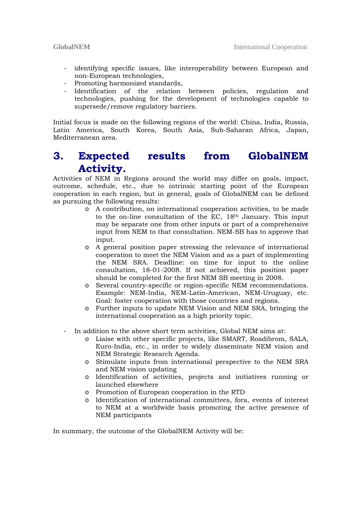- identifying specific issues, like interoperability between European and non-European technologies,
- Promoting harmonized standards,
- Identification of the relation between policies, regulation and technologies, pushing for the development of technologies capable to supersede/remove regulatory barriers.

Initial focus is made on the following regions of the world: China, India, Russia, Latin America, South Korea, South Asia, Sub-Saharan Africa, Japan, Mediterranean area.

## **3. Expected results from GlobalNEM Activity.**

Activities of NEM in Regions around the world may differ on goals, impact, outcome, schedule, etc., due to intrinsic starting point of the European cooperation in each region, but in general, goals of GlobalNEM can be defined as pursuing the following results:

- o A contribution, on international cooperation activities, to be made to the on-line consultation of the EC, 18th January. This input may be separate one from other inputs or part of a comprehensive input from NEM to that consultation. NEM-SB has to approve that input.
- o A general position paper stressing the relevance of international cooperation to meet the NEM Vision and as a part of implementing the NEM SRA. Deadline: on time for input to the online consultation, 18-01-2008. If not achieved, this position paper should be completed for the first NEM SB meeting in 2008.
- o Several country-specific or region-specific NEM recommendations. Example: NEM-India, NEM-Latin-American, NEM-Uruguay, etc. Goal: foster cooperation with those countries and regions.
- o Further inputs to update NEM Vision and NEM SRA, bringing the international cooperation as a high priority topic.
- In addition to the above short term activities, Global NEM aims at:
	- o Liaise with other specific projects, like SMART, Roadibrom, SALA, Euro-India, etc., in order to widely disseminate NEM vision and NEM Strategic Research Agenda.
	- o Stimulate inputs from international perspective to the NEM SRA and NEM vision updating
	- o Identification of activities, projects and initiatives running or launched elsewhere
	- o Promotion of European cooperation in the RTD
	- o Identification of international committees, fora, events of interest to NEM at a worldwide basis promoting the active presence of NEM participants

In summary, the outcome of the GlobalNEM Activity will be: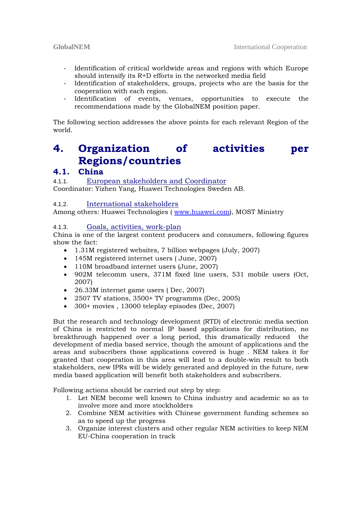- Identification of critical worldwide areas and regions with which Europe should intensify its R+D efforts in the networked media field
- Identification of stakeholders, groups, projects who are the basis for the cooperation with each region.
- Identification of events, venues, opportunities to execute the recommendations made by the GlobalNEM position paper.

The following section addresses the above points for each relevant Region of the world.

# **4. Organization of activities per Regions/countries**

### **4.1. China**

4.1.1. European stakeholders and Coordinator Coordinator: Yizhen Yang, Huawei Technologies Sweden AB.

#### 4.1.2. International stakeholders

Among others: Huawei Technologies ( www.huawei.com), MOST Ministry

#### 4.1.3. Goals, activities, work-plan

China is one of the largest content producers and consumers, following figures show the fact:

- 1.31M registered websites, 7 billion webpages (July, 2007)
- 145M registered internet users ( June, 2007)
- 110M broadband internet users (June, 2007)
- 902M telecomm users, 371M fixed line users, 531 mobile users (Oct, 2007)
- 26.33M internet game users ( Dec, 2007)
- 2507 TV stations, 3500+ TV programms (Dec, 2005)
- 300+ movies , 13000 teleplay episodes (Dec, 2007)

But the research and technology development (RTD) of electronic media section of China is restricted to normal IP based applications for distribution, no breakthrough happened over a long period, this dramatically reduced the development of media based service, though the amount of applications and the areas and subscribers those applications covered is huge . NEM takes it for granted that cooperation in this area will lead to a double-win result to both stakeholders, new IPRs will be widely generated and deployed in the future, new media based application will benefit both stakeholders and subscribers.

Following actions should be carried out step by step:

- 1. Let NEM become well known to China industry and academic so as to involve more and more stockholders
- 2. Combine NEM activities with Chinese government funding schemes so as to speed up the progress
- 3. Organize interest clusters and other regular NEM activities to keep NEM EU-China cooperation in track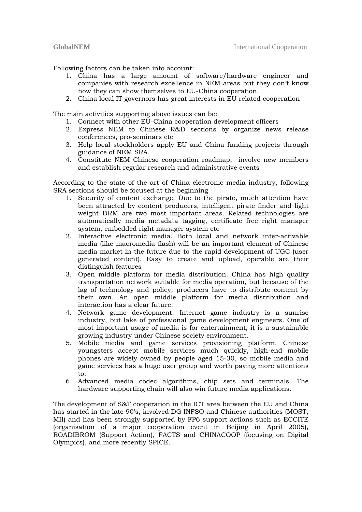Following factors can be taken into account:

- 1. China has a large amount of software/hardware engineer and companies with research excellence in NEM areas but they don't know how they can show themselves to EU-China cooperation.
- 2. China local IT governors has great interests in EU related cooperation

The main activities supporting above issues can be:

- 1. Connect with other EU-China cooperation development officers
- 2. Express NEM to Chinese R&D sections by organize news release conferences, pro-seminars etc
- 3. Help local stockholders apply EU and China funding projects through guidance of NEM SRA.
- 4. Constitute NEM Chinese cooperation roadmap, involve new members and establish regular research and administrative events

According to the state of the art of China electronic media industry, following SRA sections should be focused at the beginning

- 1. Security of content exchange. Due to the pirate, much attention have been attracted by content producers, intelligent pirate finder and light weight DRM are two most important areas. Related technologies are automatically media metadata tagging, certificate free right manager system, embedded right manager system etc
- 2. Interactive electronic media. Both local and network inter-activable media (like macromedia flash) will be an important element of Chinese media market in the future due to the rapid development of UGC (user generated content). Easy to create and upload, operable are their distinguish features
- 3. Open middle platform for media distribution. China has high quality transportation network suitable for media operation, but because of the lag of technology and policy, producers have to distribute content by their own. An open middle platform for media distribution and interaction has a clear future.
- 4. Network game development. Internet game industry is a sunrise industry, but lake of professional game development engineers. One of most important usage of media is for entertainment; it is a sustainable growing industry under Chinese society environment.
- 5. Mobile media and game services provisioning platform. Chinese youngsters accept mobile services much quickly, high-end mobile phones are widely owned by people aged 15-30, so mobile media and game services has a huge user group and worth paying more attentions to.
- 6. Advanced media codec algorithms, chip sets and terminals. The hardware supporting chain will also win future media applications.

The development of S&T cooperation in the ICT area between the EU and China has started in the late 90's, involved DG INFSO and Chinese authorities (MOST, MII) and has been strongly supported by FP6 support actions such as ECCITE (organisation of a major cooperation event in Beijing in April 2005), ROADIBROM (Support Action), FACTS and CHINACOOP (focusing on Digital Olympics), and more recently SPICE.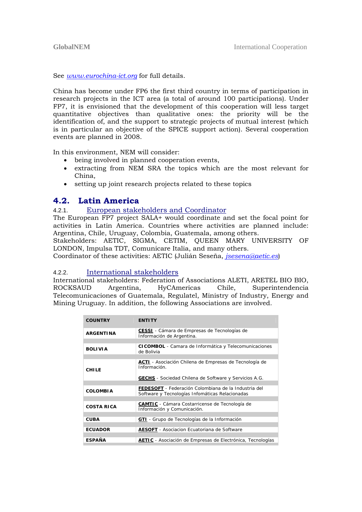See *www.eurochina-ict.org* for full details.

China has become under FP6 the first third country in terms of participation in research projects in the ICT area (a total of around 100 participations). Under FP7, it is envisioned that the development of this cooperation will less target quantitative objectives than qualitative ones: the priority will be the identification of, and the support to strategic projects of mutual interest (which is in particular an objective of the SPICE support action). Several cooperation events are planned in 2008.

In this environment, NEM will consider:

- being involved in planned cooperation events,
- extracting from NEM SRA the topics which are the most relevant for China,
- setting up joint research projects related to these topics

#### **4.2. Latin America**

#### 4.2.1. European stakeholders and Coordinator

The European FP7 project SALA+ would coordinate and set the focal point for activities in Latin America. Countries where activities are planned include: Argentina, Chile, Uruguay, Colombia, Guatemala, among others.

Stakeholders: AETIC, SIGMA, CETIM, QUEEN MARY UNIVERSITY OF LONDON, Impulsa TDT, Comunicare Italia, and many others.

Coordinator of these activities: AETIC (Julián Seseña, *jsesena@aetic.es*)

#### 4.2.2. International stakeholders

International stakeholders: Federation of Associations ALETI, ARETEL BIO BIO, ROCKSAUD Argentina, HyCAmericas Chile, Superintendencia Telecomunicaciones of Guatemala, Regulatel, Ministry of Industry, Energy and Mining Uruguay. In addition, the following Associations are involved.

| <b>COUNTRY</b>    | <b>FNTITY</b>                                                                                                  |
|-------------------|----------------------------------------------------------------------------------------------------------------|
| <b>ARGENTINA</b>  | <b>CESSI</b> - Cámara de Empresas de Tecnologías de<br>Información de Argentina.                               |
|                   |                                                                                                                |
| <b>BOLIVIA</b>    | <b>CICOMBOL</b> - Camara de Informática y Telecomunicaciones<br>de Bolivia                                     |
|                   |                                                                                                                |
| <b>CHILE</b>      | <b>ACTI</b> - Asociación Chilena de Empresas de Tecnología de<br>Información                                   |
|                   | <b>GECHS</b> - Sociedad Chilena de Software y Servicios A.G.                                                   |
|                   |                                                                                                                |
| <b>COLOMBIA</b>   | <b>FEDESOFT</b> - Federación Colombiana de la Industria del<br>Software y Tecnologías Infomáticas Relacionadas |
|                   |                                                                                                                |
| <b>COSTA RICA</b> | <b>CAMTIC</b> - Cámara Costarricense de Tecnología de<br>Información y Comunicación.                           |
|                   |                                                                                                                |
| CUBA              | <b>GTI</b> - Grupo de Tecnologías de la Información                                                            |
|                   |                                                                                                                |
| <b>ECUADOR</b>    | <b>AESOFT</b> - Asociacion Ecuatoriana de Software                                                             |
|                   |                                                                                                                |
| <b>ESPAÑA</b>     | <b>AETIC</b> - Asociación de Empresas de Electrónica, Tecnologías                                              |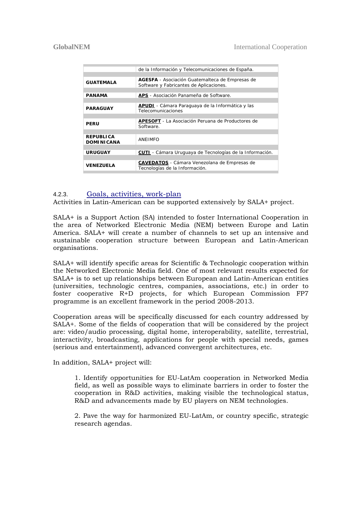|                         | de la Información y Telecomunicaciones de España.               |
|-------------------------|-----------------------------------------------------------------|
|                         |                                                                 |
| <b>GUATEMALA</b>        | <b>AGESFA</b> - Asociación Guatemalteca de Empresas de          |
|                         | Software y Fabricantes de Aplicaciones.                         |
|                         |                                                                 |
| PANAMA                  | <b>APS</b> - Asociación Panameña de Software.                   |
|                         |                                                                 |
|                         | <b>APUDI</b> - Cámara Paraguaya de la Informática y las         |
| <b>PARAGUAY</b>         | Telecomunicaciones                                              |
|                         |                                                                 |
|                         | <b>APESOFT</b> - La Asociación Peruana de Productores de        |
| PFRU                    | Software.                                                       |
|                         |                                                                 |
| <b>REPUBLICA</b>        |                                                                 |
| <b>DOMINICANA</b>       | ANEIMFO                                                         |
|                         |                                                                 |
| <b>URUGUAY</b>          | <b>CUTI</b> - Cámara Uruguaya de Tecnologías de la Información. |
|                         |                                                                 |
|                         | <b>CAVEDATOS</b> - Cámara Venezolana de Empresas de             |
| <i><b>VENEZUELA</b></i> | Tecnologías de la Información.                                  |
|                         |                                                                 |

#### 4.2.3. Goals, activities, work-plan

Activities in Latin-American can be supported extensively by SALA+ project.

SALA+ is a Support Action (SA) intended to foster International Cooperation in the area of Networked Electronic Media (NEM) between Europe and Latin America. SALA+ will create a number of channels to set up an intensive and sustainable cooperation structure between European and Latin-American organisations.

SALA+ will identify specific areas for Scientific & Technologic cooperation within the Networked Electronic Media field. One of most relevant results expected for SALA+ is to set up relationships between European and Latin-American entities (universities, technologic centres, companies, associations, etc.) in order to foster cooperative R+D projects, for which European Commission FP7 programme is an excellent framework in the period 2008-2013.

Cooperation areas will be specifically discussed for each country addressed by SALA+. Some of the fields of cooperation that will be considered by the project are: video/audio processing, digital home, interoperability, satellite, terrestrial, interactivity, broadcasting, applications for people with special needs, games (serious and entertainment), advanced convergent architectures, etc.

In addition, SALA+ project will:

1. Identify opportunities for EU-LatAm cooperation in Networked Media field, as well as possible ways to eliminate barriers in order to foster the cooperation in R&D activities, making visible the technological status, R&D and advancements made by EU players on NEM technologies.

2. Pave the way for harmonized EU-LatAm, or country specific, strategic research agendas.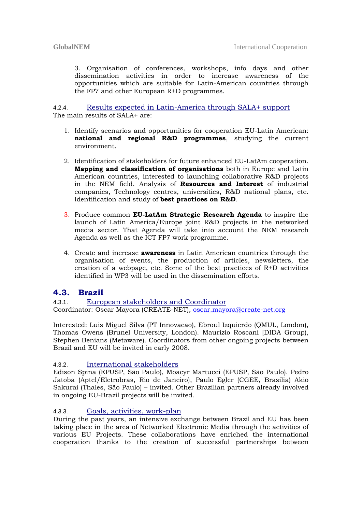3. Organisation of conferences, workshops, info days and other dissemination activities in order to increase awareness of the opportunities which are suitable for Latin-American countries through the FP7 and other European R+D programmes.

4.2.4. Results expected in Latin-America through SALA+ support The main results of SALA+ are:

- 1. Identify scenarios and opportunities for cooperation EU-Latin American: **national and regional R&D programmes**, studying the current environment.
- 2. Identification of stakeholders for future enhanced EU-LatAm cooperation. **Mapping and classification of organisations** both in Europe and Latin American countries, interested to launching collaborative R&D projects in the NEM field. Analysis of **Resources and Interest** of industrial companies, Technology centres, universities, R&D national plans, etc. Identification and study of **best practices on R&D**.
- 3. Produce common **EU-LatAm Strategic Research Agenda** to inspire the launch of Latin America/Europe joint R&D projects in the networked media sector. That Agenda will take into account the NEM research Agenda as well as the ICT FP7 work programme.
- 4. Create and increase **awareness** in Latin American countries through the organisation of events, the production of articles, newsletters, the creation of a webpage, etc. Some of the best practices of R+D activities identified in WP3 will be used in the dissemination efforts.

#### **4.3. Brazil**

4.3.1. European stakeholders and Coordinator Coordinator: Oscar Mayora (CREATE-NET), oscar.mayora@create-net.org

Interested: Luis Miguel Silva (PT Innovacao), Ebroul Izquierdo (QMUL, London), Thomas Owens (Brunel University, London). Maurizio Roscani [DIDA Group}, Stephen Benians (Metaware). Coordinators from other ongoing projects between Brazil and EU will be invited in early 2008.

#### 4.3.2. International stakeholders

Edison Spina (EPUSP, São Paulo), Moacyr Martucci (EPUSP, São Paulo). Pedro Jatoba (Aptel/Eletrobras, Rio de Janeiro), Paulo Egler (CGEE, Brasilia) Akio Sakurai (Thales, São Paulo) – invited. Other Brazilian partners already involved in ongoing EU-Brazil projects will be invited.

#### 4.3.3. Goals, activities, work-plan

During the past years, an intensive exchange between Brazil and EU has been taking place in the area of Networked Electronic Media through the activities of various EU Projects. These collaborations have enriched the international cooperation thanks to the creation of successful partnerships between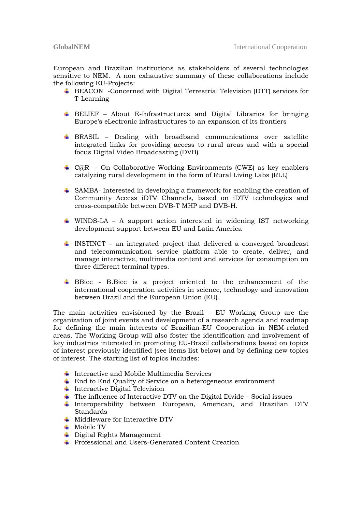European and Brazilian institutions as stakeholders of several technologies sensitive to NEM. A non exhaustive summary of these collaborations include the following EU-Projects:

- BEACON -Concerned with Digital Terrestrial Television (DTT) services for T-Learning
- BELIEF About E-Infrastructures and Digital Libraries for bringing Europe's eLectronic infrastructures to an expansion of its frontiers
- BRASIL Dealing with broadband communications over satellite integrated links for providing access to rural areas and with a special focus Digital Video Broadcasting (DVB)
- $\div$  C@R On Collaborative Working Environments (CWE) as key enablers catalyzing rural development in the form of Rural Living Labs (RLL)
- SAMBA- Interested in developing a framework for enabling the creation of Community Access iDTV Channels, based on iDTV technologies and cross-compatible between DVB-T MHP and DVB-H.
- WINDS-LA A support action interested in widening IST networking development support between EU and Latin America
- INSTINCT an integrated project that delivered a converged broadcast and telecommunication service platform able to create, deliver, and manage interactive, multimedia content and services for consumption on three different terminal types.
- BBice B.Bice is a project oriented to the enhancement of the international cooperation activities in science, technology and innovation between Brazil and the European Union (EU).

The main activities envisioned by the Brazil – EU Working Group are the organization of joint events and development of a research agenda and roadmap for defining the main interests of Brazilian-EU Cooperation in NEM-related areas. The Working Group will also foster the identification and involvement of key industries interested in promoting EU-Brazil collaborations based on topics of interest previously identified (see items list below) and by defining new topics of interest. The starting list of topics includes:

- $\ddot{\phantom{1}}$  Interactive and Mobile Multimedia Services
- $\pm$  End to End Quality of Service on a heterogeneous environment
- $\ddagger$  Interactive Digital Television
- $\ddot{\bullet}$  The influence of Interactive DTV on the Digital Divide Social issues
- $\ddagger$  Interoperability between European, American, and Brazilian DTV **Standards**
- $\overline{\phantom{a}}$  Middleware for Interactive DTV
- $\overline{\phantom{a}}$  Mobile TV
- Digital Rights Management
- Professional and Users-Generated Content Creation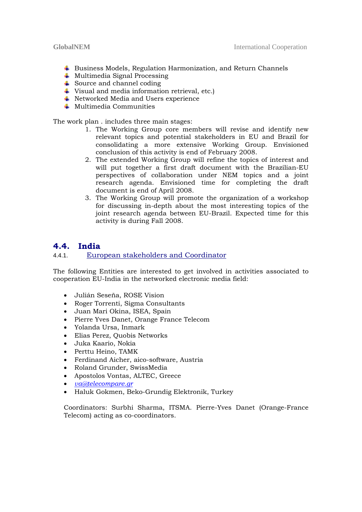- Business Models, Regulation Harmonization, and Return Channels
- $\overline{\phantom{a}}$  Multimedia Signal Processing
- $\ddot{\bullet}$  Source and channel coding
- Visual and media information retrieval, etc.)
- **↓** Networked Media and Users experience
- $\textcolor{red}{\bullet}$  Multimedia Communities

The work plan . includes three main stages:

- 1. The Working Group core members will revise and identify new relevant topics and potential stakeholders in EU and Brazil for consolidating a more extensive Working Group. Envisioned conclusion of this activity is end of February 2008.
- 2. The extended Working Group will refine the topics of interest and will put together a first draft document with the Brazilian-EU perspectives of collaboration under NEM topics and a joint research agenda. Envisioned time for completing the draft document is end of April 2008.
- 3. The Working Group will promote the organization of a workshop for discussing in-depth about the most interesting topics of the joint research agenda between EU-Brazil. Expected time for this activity is during Fall 2008.

### **4.4. India**

#### 4.4.1. European stakeholders and Coordinator

The following Entities are interested to get involved in activities associated to cooperation EU-India in the networked electronic media field:

- Julián Seseña, ROSE Vision
- Roger Torrenti, Sigma Consultants
- Juan Mari Okina, ISEA, Spain
- Pierre Yves Danet, Orange France Telecom
- Yolanda Ursa, Inmark
- Elias Perez, Quobis Networks
- Juka Kaario, Nokia
- Perttu Heino, TAMK
- Ferdinand Aicher, aico-software, Austria
- Roland Grunder, SwissMedia
- Apostolos Vontas, ALTEC, Greece
- *va@telecompare.gr*
- Haluk Gokmen, Beko-Grundig Elektronik, Turkey

Coordinators: Surbhi Sharma, ITSMA. Pierre-Yves Danet (Orange-France Telecom) acting as co-coordinators.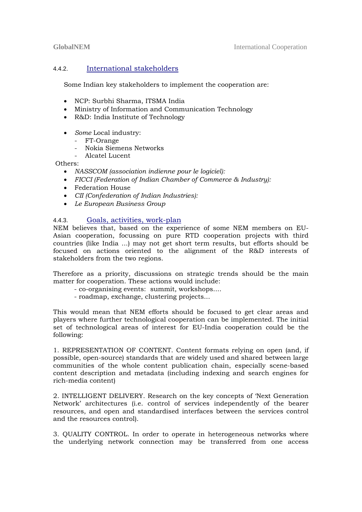#### 4.4.2. International stakeholders

Some Indian key stakeholders to implement the cooperation are:

- NCP: Surbhi Sharma, ITSMA India
- Ministry of Information and Communication Technology
- R&D: India Institute of Technology
- *Some* Local industry:
	- FT-Orange
	- Nokia Siemens Networks
	- Alcatel Lucent

Others:

- *NASSCOM (association indienne pour le logiciel):*
- *FICCI (Federation of Indian Chamber of Commerce & Industry):*
- Federation House
- *CII (Confederation of Indian Industries):*
- *Le European Business Group*

#### 4.4.3. Goals, activities, work-plan

NEM believes that, based on the experience of some NEM members on EU-Asian cooperation, focussing on pure RTD cooperation projects with third countries (like India ...) may not get short term results, but efforts should be focused on actions oriented to the alignment of the R&D interests of stakeholders from the two regions.

Therefore as a priority, discussions on strategic trends should be the main matter for cooperation. These actions would include:

- co-organising events: summit, workshops....
- roadmap, exchange, clustering projects...

This would mean that NEM efforts should be focused to get clear areas and players where further technological cooperation can be implemented. The initial set of technological areas of interest for EU-India cooperation could be the following:

1. REPRESENTATION OF CONTENT. Content formats relying on open (and, if possible, open-source) standards that are widely used and shared between large communities of the whole content publication chain, especially scene-based content description and metadata (including indexing and search engines for rich-media content)

2. INTELLIGENT DELIVERY. Research on the key concepts of 'Next Generation Network' architectures (i.e. control of services independently of the bearer resources, and open and standardised interfaces between the services control and the resources control).

3. QUALITY CONTROL. In order to operate in heterogeneous networks where the underlying network connection may be transferred from one access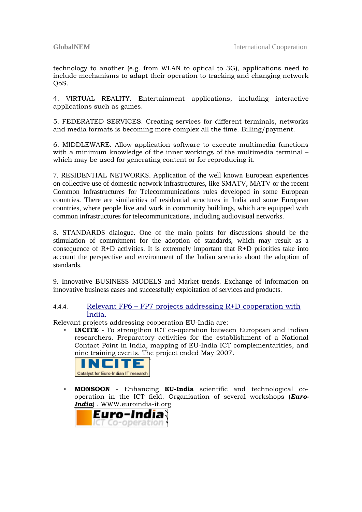technology to another (e.g. from WLAN to optical to 3G), applications need to include mechanisms to adapt their operation to tracking and changing network OoS.

4. VIRTUAL REALITY. Entertainment applications, including interactive applications such as games.

5. FEDERATED SERVICES. Creating services for different terminals, networks and media formats is becoming more complex all the time. Billing/payment.

6. MIDDLEWARE. Allow application software to execute multimedia functions with a minimum knowledge of the inner workings of the multimedia terminal – which may be used for generating content or for reproducing it.

7. RESIDENTIAL NETWORKS. Application of the well known European experiences on collective use of domestic network infrastructures, like SMATV, MATV or the recent Common Infrastructures for Telecommunications rules developed in some European countries. There are similarities of residential structures in India and some European countries, where people live and work in community buildings, which are equipped with common infrastructures for telecommunications, including audiovisual networks.

8. STANDARDS dialogue. One of the main points for discussions should be the stimulation of commitment for the adoption of standards, which may result as a consequence of  $R+D$  activities. It is extremely important that  $R+D$  priorities take into account the perspective and environment of the Indian scenario about the adoption of standards.

9. Innovative BUSINESS MODELS and Market trends. Exchange of information on innovative business cases and successfully exploitation of services and products.

#### 4.4.4. Relevant FP6 – FP7 projects addressing R+D cooperation with Índia.

Relevant projects addressing cooperation EU-India are:

• **INCITE** - To strengthen ICT co-operation between European and Indian researchers. Preparatory activities for the establishment of a National Contact Point in India, mapping of EU-India ICT complementarities, and nine training events. The project ended May 2007.



• **MONSOON** - Enhancing **EU-India** scientific and technological cooperation in the ICT field. Organisation of several workshops (*Euro-India*) . WWW.euroindia-it.org

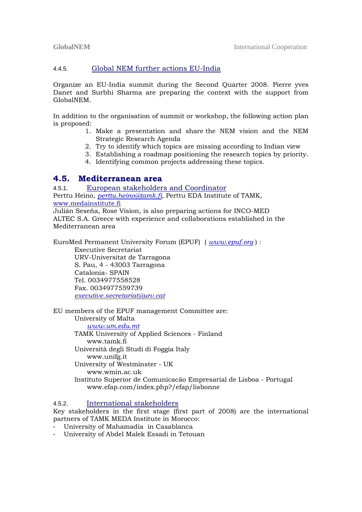#### 4.4.5. Global NEM further actions EU-India

Organize an EU-India summit during the Second Quarter 2008. Pierre yves Danet and Surbhi Sharma are preparing the context with the support from GlobalNEM.

In addition to the organisation of summit or workshop, the following action plan is proposed:

- 1. Make a presentation and share the NEM vision and the NEM Strategic Research Agenda
- 2. Try to identify which topics are missing according to Indian view
- 3. Establishing a roadmap positioning the research topics by priority.
- 4. Identifying common projects addressing these topics.

#### **4.5. Mediterranean area**

4.5.1. European stakeholders and Coordinator Perttu Heino, *perttu.heino@tamk.fi*, Perttu EDA Institute of TAMK, www.medainstitute.fi Julián Seseña, Rose Vision, is also preparing actions for INCO-MED

ALTEC S.A. Greece with experience and collaborations established in the Mediterranean area

EuroMed Permanent University Forum (EPUF) ( *www.epuf.org* ) :

Executive Secretariat URV-Universitat de Tarragona S. Pau, 4 - 43003 Tarragona Catalonia- SPAIN Tel. 0034977558528 Fax. 0034977559739 *executive.secretariat@urv.cat*

EU members of the EPUF management Committee are:

University of Malta *www.um.edu.mt* TAMK University of Applied Sciences - Finland www.tamk.fi Università degli Studi di Foggia Italy www.unifg.it University of Westminster - UK www.wmin.ac.uk Instituto Superior de Comunicacão Empresarial de Lisboa - Portugal www.efap.com/index.php?/efap/lisbonne

#### 4.5.2. International stakeholders

Key stakeholders in the first stage (first part of 2008) are the international partners of TAMK MEDA Institute in Morocco:

- University of Mahamadia in Casablanca

- University of Abdel Malek Essadi in Tetouan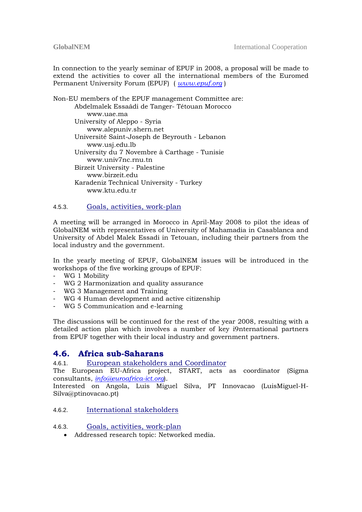In connection to the yearly seminar of EPUF in 2008, a proposal will be made to extend the activities to cover all the international members of the Euromed Permanent University Forum (EPUF) ( *www.epuf.org* )

Non-EU members of the EPUF management Committee are: Abdelmalek Essaâdi de Tanger- Tétouan Morocco www.uae.ma University of Aleppo - Syria www.alepuniv.shern.net Université Saint-Joseph de Beyrouth - Lebanon www.usj.edu.lb University du 7 Novembre à Carthage - Tunisie www.univ7nc.rnu.tn Birzeit University - Palestine www.birzeit.edu Karadeniz Technical University - Turkey www.ktu.edu.tr

#### 4.5.3. Goals, activities, work-plan

A meeting will be arranged in Morocco in April-May 2008 to pilot the ideas of GlobalNEM with representatives of University of Mahamadia in Casablanca and University of Abdel Malek Essadi in Tetouan, including their partners from the local industry and the government.

In the yearly meeting of EPUF, GlobalNEM issues will be introduced in the workshops of the five working groups of EPUF:

- WG 1 Mobility
- WG 2 Harmonization and quality assurance
- WG 3 Management and Training
- WG 4 Human development and active citizenship
- WG 5 Communication and e-learning

The discussions will be continued for the rest of the year 2008, resulting with a detailed action plan which involves a number of key i9nternational partners from EPUF together with their local industry and government partners.

#### **4.6. Africa sub-Saharans**

#### 4.6.1. European stakeholders and Coordinator

The European EU-Africa project, START, acts as coordinator (Sigma consultants, *info@euroafrica-ict.org*).

Interested on Angola, Luis Miguel Silva, PT Innovacao (LuisMiguel-H-Silva@ptinovacao.pt)

#### 4.6.2. International stakeholders

#### 4.6.3. Goals, activities, work-plan

• Addressed research topic: Networked media.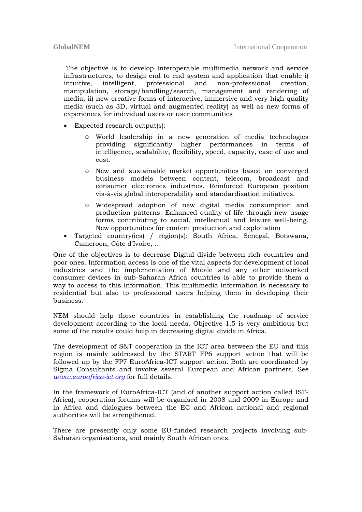The objective is to develop Interoperable multimedia network and service infrastructures, to design end to end system and application that enable i) intuitive, intelligent, professional and non-professional creation, manipulation, storage/handling/search, management and rendering of media; ii) new creative forms of interactive, immersive and very high quality media (such as 3D, virtual and augmented reality) as well as new forms of experiences for individual users or user communities

- Expected research output(s):
	- o World leadership in a new generation of media technologies providing significantly higher performances in terms of intelligence, scalability, flexibility, speed, capacity, ease of use and cost.
	- o New and sustainable market opportunities based on converged business models between content, telecom, broadcast and consumer electronics industries. Reinforced European position vis-à-vis global interoperability and standardisation initiatives.
	- o Widespread adoption of new digital media consumption and production patterns. Enhanced quality of life through new usage forms contributing to social, intellectual and leisure well-being. New opportunities for content production and exploitation
- Targeted country(ies) / region(s): South Africa, Senegal, Botswana, Cameroon, Côte d'Ivoire, …

One of the objectives is to decrease Digital divide between rich countries and poor ones. Information access is one of the vital aspects for development of local industries and the implementation of Mobile and any other networked consumer devices in sub-Saharan Africa countries is able to provide them a way to access to this information. This multimedia information is necessary to residential but also to professional users helping them in developing their business.

NEM should help these countries in establishing the roadmap of service development according to the local needs. Objective 1.5 is very ambitious but some of the results could help in decreasing digital divide in Africa.

The development of S&T cooperation in the ICT area between the EU and this region is mainly addressed by the START FP6 support action that will be followed up by the FP7 EuroAfrica-ICT support action. Both are coordinated by Sigma Consultants and involve several European and African partners. See *www.euroafrica-ict.org* for full details.

In the framework of EuroAfrica-ICT (and of another support action called IST-Africa), cooperation forums will be organised in 2008 and 2009 in Europe and in Africa and dialogues between the EC and African national and regional authorities will be strengthened.

There are presently only some EU-funded research projects involving sub-Saharan organisations, and mainly South African ones.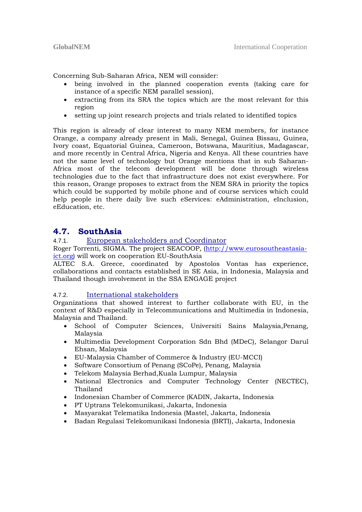Concerning Sub-Saharan Africa, NEM will consider:

- being involved in the planned cooperation events (taking care for instance of a specific NEM parallel session),
- extracting from its SRA the topics which are the most relevant for this region
- setting up joint research projects and trials related to identified topics

This region is already of clear interest to many NEM members, for instance Orange, a company already present in Mali, Senegal, Guinea Bissau, Guinea, Ivory coast, Equatorial Guinea, Cameroon, Botswana, Mauritius, Madagascar, and more recently in Central Africa, Nigeria and Kenya. All these countries have not the same level of technology but Orange mentions that in sub Saharan-Africa most of the telecom development will be done through wireless technologies due to the fact that infrastructure does not exist everywhere. For this reason, Orange proposes to extract from the NEM SRA in priority the topics which could be supported by mobile phone and of course services which could help people in there daily live such eServices: eAdministration, eInclusion, eEducation, etc.

### **4.7. SouthAsia**

#### 4.7.1. European stakeholders and Coordinator

Roger Torrenti, SIGMA. The project SEACOOP, (http://www.eurosoutheastasiaict.org) will work on cooperation EU-SouthAsia

ALTEC S.A. Greece, coordinated by Apostolos Vontas has experience, collaborations and contacts established in SE Asia, in Indonesia, Malaysia and Thailand though involvement in the SSA ENGAGE project

#### 4.7.2. International stakeholders

Organizations that showed interest to further collaborate with EU, in the context of R&D especially in Telecommunications and Multimedia in Indonesia, Malaysia and Thailand.

- School of Computer Sciences, Universiti Sains Malaysia,Penang, Malaysia
- Multimedia Development Corporation Sdn Bhd (MDeC), Selangor Darul Ehsan, Malaysia
- EU-Malaysia Chamber of Commerce & Industry (EU-MCCI)
- Software Consortium of Penang (SCoPe), Penang, Malaysia
- Telekom Malaysia Berhad,Kuala Lumpur, Malaysia
- National Electronics and Computer Technology Center (NECTEC), Thailand
- Indonesian Chamber of Commerce (KADIN, Jakarta, Indonesia
- PT Uptrans Telekomunikasi, Jakarta, Indonesia
- Masyarakat Telematika Indonesia (Mastel, Jakarta, Indonesia
- Badan Regulasi Telekomunikasi Indonesia (BRTI), Jakarta, Indonesia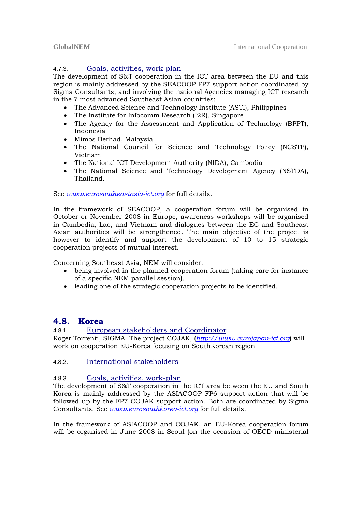#### 4.7.3. Goals, activities, work-plan

The development of S&T cooperation in the ICT area between the EU and this region is mainly addressed by the SEACOOP FP7 support action coordinated by Sigma Consultants, and involving the national Agencies managing ICT research in the 7 most advanced Southeast Asian countries:

- The Advanced Science and Technology Institute (ASTI), Philippines
- The Institute for Infocomm Research (I2R), Singapore
- The Agency for the Assessment and Application of Technology (BPPT), Indonesia
- Mimos Berhad, Malaysia
- The National Council for Science and Technology Policy (NCSTP), Vietnam
- The National ICT Development Authority (NIDA), Cambodia
- The National Science and Technology Development Agency (NSTDA), Thailand.

See *www.eurosoutheastasia-ict.org* for full details.

In the framework of SEACOOP, a cooperation forum will be organised in October or November 2008 in Europe, awareness workshops will be organised in Cambodia, Lao, and Vietnam and dialogues between the EC and Southeast Asian authorities will be strengthened. The main objective of the project is however to identify and support the development of 10 to 15 strategic cooperation projects of mutual interest.

Concerning Southeast Asia, NEM will consider:

- being involved in the planned cooperation forum (taking care for instance of a specific NEM parallel session),
- leading one of the strategic cooperation projects to be identified.

#### **4.8. Korea**

4.8.1. European stakeholders and Coordinator Roger Torrenti, SIGMA. The project COJAK, (*http://www.eurojapan-ict.org*) will work on cooperation EU-Korea focusing on SouthKorean region

#### 4.8.2. International stakeholders

#### 4.8.3. Goals, activities, work-plan

The development of S&T cooperation in the ICT area between the EU and South Korea is mainly addressed by the ASIACOOP FP6 support action that will be followed up by the FP7 COJAK support action. Both are coordinated by Sigma Consultants. See *www.eurosouthkorea-ict.org* for full details.

In the framework of ASIACOOP and COJAK, an EU-Korea cooperation forum will be organised in June 2008 in Seoul (on the occasion of OECD ministerial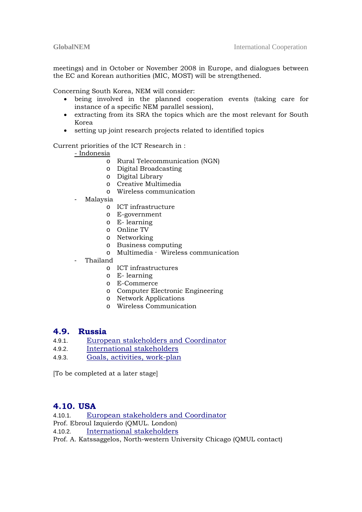meetings) and in October or November 2008 in Europe, and dialogues between the EC and Korean authorities (MIC, MOST) will be strengthened.

Concerning South Korea, NEM will consider:

- being involved in the planned cooperation events (taking care for instance of a specific NEM parallel session),
- extracting from its SRA the topics which are the most relevant for South Korea
- setting up joint research projects related to identified topics

Current priorities of the ICT Research in :

- Indonesia

- o Rural Telecommunication (NGN)
- o Digital Broadcasting
- o Digital Library
- o Creative Multimedia
- o Wireless communication
- Malaysia
	- o ICT infrastructure
	- o E-government
	- o E- learning
	- o Online TV
	- o Networking
	- o Business computing
	- o Multimedia · Wireless communication
- Thailand
	- o ICT infrastructures
	- o E- learning
	- o E-Commerce
	- o Computer Electronic Engineering
	- o Network Applications
	- o Wireless Communication

#### **4.9. Russia**

- 4.9.1. European stakeholders and Coordinator
- 4.9.2. International stakeholders
- 4.9.3. Goals, activities, work-plan

[To be completed at a later stage]

### **4.10. USA**

4.10.1. European stakeholders and Coordinator

- Prof. Ebroul Izquierdo (QMUL. London)
- 4.10.2. International stakeholders

Prof. A. Katssaggelos, North-western University Chicago (QMUL contact)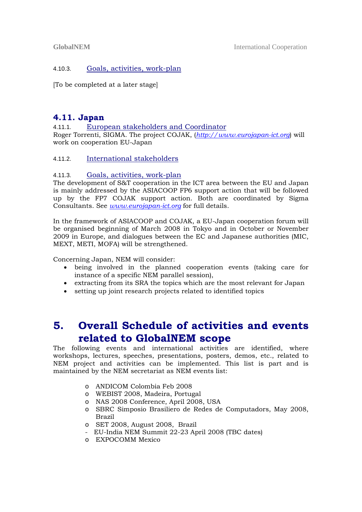#### 4.10.3. Goals, activities, work-plan

[To be completed at a later stage]

### **4.11. Japan**

4.11.1. European stakeholders and Coordinator

Roger Torrenti, SIGMA. The project COJAK, (*http://www.eurojapan-ict.org*) will work on cooperation EU-Japan

#### 4.11.2. International stakeholders

#### 4.11.3. Goals, activities, work-plan

The development of S&T cooperation in the ICT area between the EU and Japan is mainly addressed by the ASIACOOP FP6 support action that will be followed up by the FP7 COJAK support action. Both are coordinated by Sigma Consultants. See *www.eurojapan-ict.org* for full details.

In the framework of ASIACOOP and COJAK, a EU-Japan cooperation forum will be organised beginning of March 2008 in Tokyo and in October or November 2009 in Europe, and dialogues between the EC and Japanese authorities (MIC, MEXT, METI, MOFA) will be strengthened.

Concerning Japan, NEM will consider:

- being involved in the planned cooperation events (taking care for instance of a specific NEM parallel session),
- extracting from its SRA the topics which are the most relevant for Japan
- setting up joint research projects related to identified topics

## **5. Overall Schedule of activities and events related to GlobalNEM scope**

The following events and international activities are identified, where workshops, lectures, speeches, presentations, posters, demos, etc., related to NEM project and activities can be implemented. This list is part and is maintained by the NEM secretariat as NEM events list:

- o ANDICOM Colombia Feb 2008
- o WEBIST 2008, Madeira, Portugal
- o NAS 2008 Conference, April 2008, USA
- o SBRC Simposio Brasiliero de Redes de Computadors, May 2008, Brazil
- o SET 2008, August 2008, Brazil
- EU-India NEM Summit 22-23 April 2008 (TBC dates)
- o EXPOCOMM Mexico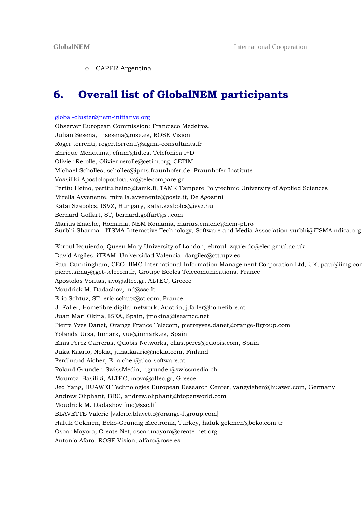#### o CAPER Argentina

## **6. Overall list of GlobalNEM participants**

### global-cluster@nem-initiative.org Observer European Commission: Francisco Medeiros. Julián Seseña, jsesena@rose.es, ROSE Vision Roger torrenti, roger.torrenti@sigma-consultants.fr Enrique Menduiña, efmm@tid.es, Telefonica I+D Olivier Rerolle, Olivier.rerolle@cetim.org, CETIM Michael Scholles, scholles@ipms.fraunhofer.de, Fraunhofer Institute Vassiliki Apostolopoulou, va@telecompare.gr Perttu Heino, perttu.heino@tamk.fi, TAMK Tampere Polytechnic University of Applied Sciences Mirella Avvenente, mirella.avvenente@poste.it, De Agostini Katai Szabolcs, ISVZ, Hungary, katai.szabolcs@isvz.hu Bernard Goffart, ST, bernard.goffart@st.com Marius Enache, Romania, NEM Romania, marius.enache@nem-pt.ro Surbhi Sharma- ITSMA-Interactive Technology, Software and Media Association surbhi@iTSMAindica.org Ebroul Izquierdo, Queen Mary University of London, ebroul.izquierdo@elec.gmul.ac.uk David Argiles, iTEAM, Universidad Valencia, dargiles@ctt.upv.es Paul Cunningham, CEO, IIMC International Information Management Corporation Ltd, UK, paul@iimg.com pierre.simay@get-telecom.fr, Groupe Ecoles Telecomunications, France Apostolos Vontas, avo@altec.gr, ALTEC, Greece Moudrick M. Dadashov, md@ssc.lt Eric Schtuz, ST, eric.schutz@st.com, France J. Faller, Homefibre digital network, Austria, j.faller@homefibre.at Juan Mari Okina, ISEA, Spain, jmokina@iseamcc.net Pierre Yves Danet, Orange France Telecom, pierreyves.danet@orange-ftgroup.com Yolanda Ursa, Inmark, yus@inmark.es, Spain Elías Perez Carreras, Quobis Networks, elias.perez@quobis.com, Spain Juka Kaario, Nokia, juha.kaario@nokia.com, Finland Ferdinand Aicher, E: aicher@aico-software.at Roland Grunder, SwissMedia, r.grunder@swissmedia.ch Moumtzi Basiliki, ALTEC, mova@altec.gr, Greece Jed Yang, HUAWEI Technologies European Research Center, yangyizhen@huawei.com, Germany Andrew Oliphant, BBC, andrew.oliphant@btopenworld.com Moudrick M. Dadashov [md@ssc.lt] BLAVETTE Valerie [valerie.blavette@orange-ftgroup.com] Haluk Gokmen, Beko-Grundig Electronik, Turkey, haluk.gokmen@beko.com.tr Oscar Mayora, Create-Net, oscar.mayora@create-net.org Antonio Afaro, ROSE Vision, alfaro@rose.es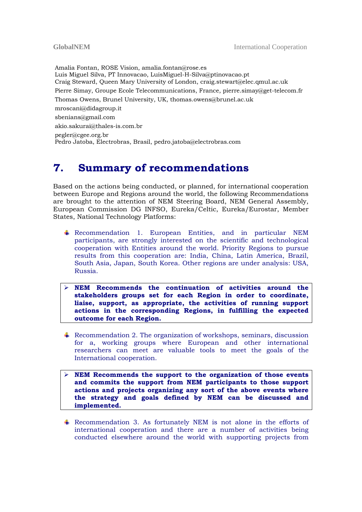Amalia Fontan, ROSE Vision, amalia.fontan@rose.es Luis Miguel Silva, PT Innovacao, LuisMiguel-H-Silva@ptinovacao.pt Craig Steward, Queen Mary University of London, craig.stewart@elec.qmul.ac.uk Pierre Simay, Groupe Ecole Telecommunications, France, pierre.simay@get-telecom.fr Thomas Owens, Brunel University, UK, thomas.owens@brunel.ac.uk mroscani@didagroup.it sbenians@gmail.com akio.sakurai@thales-is.com.br pegler@cgee.org.br Pedro Jatoba, Electrobras, Brasil, pedro.jatoba@electrobras.com

## **7. Summary of recommendations**

Based on the actions being conducted, or planned, for international cooperation between Europe and Regions around the world, the following Recommendations are brought to the attention of NEM Steering Board, NEM General Assembly, European Commission DG INFSO, Eureka/Celtic, Eureka/Eurostar, Member States, National Technology Platforms:

- Recommendation 1. European Entities, and in particular NEM participants, are strongly interested on the scientific and technological cooperation with Entities around the world. Priority Regions to pursue results from this cooperation are: India, China, Latin America, Brazil, South Asia, Japan, South Korea. Other regions are under analysis: USA, Russia.
- ¾ **NEM Recommends the continuation of activities around the stakeholders groups set for each Region in order to coordinate, liaise, support, as appropriate, the activities of running support actions in the corresponding Regions, in fulfilling the expected outcome for each Region.**
- $\triangleq$  Recommendation 2. The organization of workshops, seminars, discussion for a, working groups where European and other international researchers can meet are valuable tools to meet the goals of the International cooperation.
- ¾ **NEM Recommends the support to the organization of those events and commits the support from NEM participants to those support actions and projects organizing any sort of the above events where the strategy and goals defined by NEM can be discussed and implemented.**
- $\overline{+}$  Recommendation 3. As fortunately NEM is not alone in the efforts of international cooperation and there are a number of activities being conducted elsewhere around the world with supporting projects from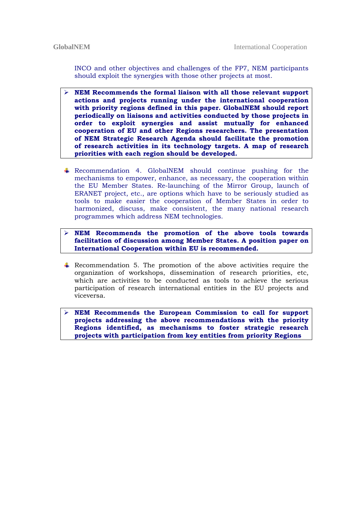INCO and other objectives and challenges of the FP7, NEM participants should exploit the synergies with those other projects at most.

- ¾ **NEM Recommends the formal liaison with all those relevant support actions and projects running under the international cooperation with priority regions defined in this paper. GlobalNEM should report periodically on liaisons and activities conducted by those projects in order to exploit synergies and assist mutually for enhanced cooperation of EU and other Regions researchers. The presentation of NEM Strategic Research Agenda should facilitate the promotion of research activities in its technology targets. A map of research priorities with each region should be developed.**
- Recommendation 4. GlobalNEM should continue pushing for the mechanisms to empower, enhance, as necessary, the cooperation within the EU Member States. Re-launching of the Mirror Group, launch of ERANET project, etc., are options which have to be seriously studied as tools to make easier the cooperation of Member States in order to harmonized, discuss, make consistent, the many national research programmes which address NEM technologies.

¾ **NEM Recommends the promotion of the above tools towards facilitation of discussion among Member States. A position paper on International Cooperation within EU is recommended.**

- Recommendation 5. The promotion of the above activities require the organization of workshops, dissemination of research priorities, etc, which are activities to be conducted as tools to achieve the serious participation of research international entities in the EU projects and viceversa.
- ¾ **NEM Recommends the European Commission to call for support projects addressing the above recommendations with the priority Regions identified, as mechanisms to foster strategic research projects with participation from key entities from priority Regions**